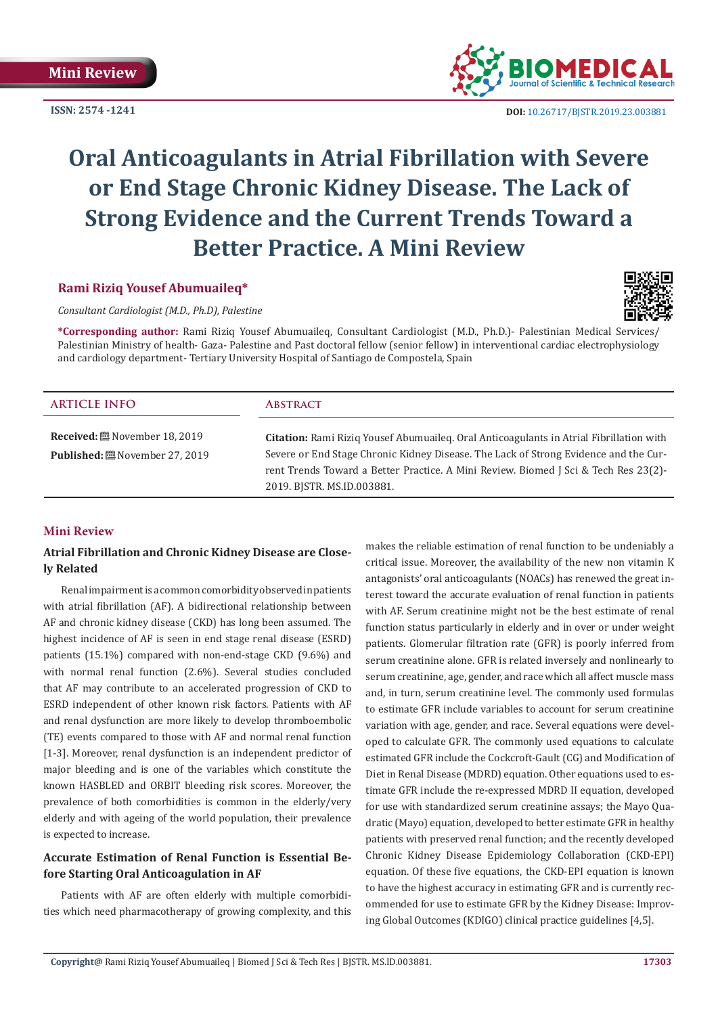**ISSN: 2574 -1241**



 **DOI:** [10.26717/BJSTR.2019.23.0038](http://dx.doi.org/10.26717/BJSTR.2019.23.003881)81

# **Oral Anticoagulants in Atrial Fibrillation with Severe or End Stage Chronic Kidney Disease. The Lack of Strong Evidence and the Current Trends Toward a Better Practice. A Mini Review**

## **Rami Riziq Yousef Abumuaileq\***

*Consultant Cardiologist (M.D., Ph.D), Palestine*

**\*Corresponding author:** Rami Riziq Yousef Abumuaileq, Consultant Cardiologist (M.D., Ph.D.)- Palestinian Medical Services/ Palestinian Ministry of health- Gaza- Palestine and Past doctoral fellow (senior fellow) in interventional cardiac electrophysiology and cardiology department- Tertiary University Hospital of Santiago de Compostela, Spain

| <b>ARTICLE INFO</b>                                                  | <b>ABSTRACT</b>                                                                                                                                                                                                                                                                                      |
|----------------------------------------------------------------------|------------------------------------------------------------------------------------------------------------------------------------------------------------------------------------------------------------------------------------------------------------------------------------------------------|
| <b>Received:</b> 圖 November 18, 2019<br><b>Published:</b> [27, 2019] | Citation: Rami Riziq Yousef Abumuaileq. Oral Anticoagulants in Atrial Fibrillation with<br>Severe or End Stage Chronic Kidney Disease. The Lack of Strong Evidence and the Cur-<br>rent Trends Toward a Better Practice. A Mini Review. Biomed J Sci & Tech Res 23(2)-<br>2019. BISTR. MS.ID.003881. |

#### **Mini Review**

# **Atrial Fibrillation and Chronic Kidney Disease are Closely Related**

Renal impairment is a common comorbidity observed in patients with atrial fibrillation (AF). A bidirectional relationship between AF and chronic kidney disease (CKD) has long been assumed. The highest incidence of AF is seen in end stage renal disease (ESRD) patients (15.1%) compared with non-end-stage CKD (9.6%) and with normal renal function (2.6%). Several studies concluded that AF may contribute to an accelerated progression of CKD to ESRD independent of other known risk factors. Patients with AF and renal dysfunction are more likely to develop thromboembolic (TE) events compared to those with AF and normal renal function [1-3]. Moreover, renal dysfunction is an independent predictor of major bleeding and is one of the variables which constitute the known HASBLED and ORBIT bleeding risk scores. Moreover, the prevalence of both comorbidities is common in the elderly/very elderly and with ageing of the world population, their prevalence is expected to increase.

# **Accurate Estimation of Renal Function is Essential Before Starting Oral Anticoagulation in AF**

Patients with AF are often elderly with multiple comorbidities which need pharmacotherapy of growing complexity, and this makes the reliable estimation of renal function to be undeniably a critical issue. Moreover, the availability of the new non vitamin K antagonists' oral anticoagulants (NOACs) has renewed the great interest toward the accurate evaluation of renal function in patients with AF. Serum creatinine might not be the best estimate of renal function status particularly in elderly and in over or under weight patients. Glomerular filtration rate (GFR) is poorly inferred from serum creatinine alone. GFR is related inversely and nonlinearly to serum creatinine, age, gender, and race which all affect muscle mass and, in turn, serum creatinine level. The commonly used formulas to estimate GFR include variables to account for serum creatinine variation with age, gender, and race. Several equations were developed to calculate GFR. The commonly used equations to calculate estimated GFR include the Cockcroft-Gault (CG) and Modification of Diet in Renal Disease (MDRD) equation. Other equations used to estimate GFR include the re-expressed MDRD II equation, developed for use with standardized serum creatinine assays; the Mayo Quadratic (Mayo) equation, developed to better estimate GFR in healthy patients with preserved renal function; and the recently developed Chronic Kidney Disease Epidemiology Collaboration (CKD-EPI) equation. Of these five equations, the CKD-EPI equation is known to have the highest accuracy in estimating GFR and is currently recommended for use to estimate GFR by the Kidney Disease: Improving Global Outcomes (KDIGO) clinical practice guidelines [4,5].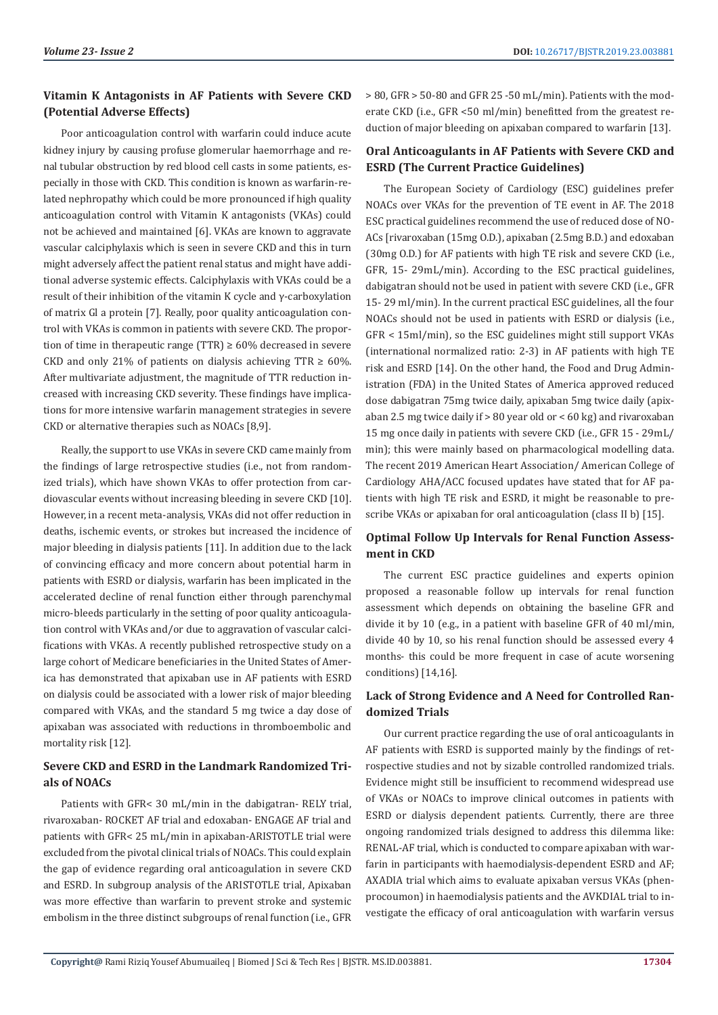# **Vitamin K Antagonists in AF Patients with Severe CKD (Potential Adverse Effects)**

Poor anticoagulation control with warfarin could induce acute kidney injury by causing profuse glomerular haemorrhage and renal tubular obstruction by red blood cell casts in some patients, especially in those with CKD. This condition is known as warfarin-related nephropathy which could be more pronounced if high quality anticoagulation control with Vitamin K antagonists (VKAs) could not be achieved and maintained [6]. VKAs are known to aggravate vascular calciphylaxis which is seen in severe CKD and this in turn might adversely affect the patient renal status and might have additional adverse systemic effects. Calciphylaxis with VKAs could be a result of their inhibition of the vitamin K cycle and γ-carboxylation of matrix Gl a protein [7]. Really, poor quality anticoagulation control with VKAs is common in patients with severe CKD. The proportion of time in therapeutic range (TTR)  $\geq 60\%$  decreased in severe CKD and only 21% of patients on dialysis achieving TTR  $\geq$  60%. After multivariate adjustment, the magnitude of TTR reduction increased with increasing CKD severity. These findings have implications for more intensive warfarin management strategies in severe CKD or alternative therapies such as NOACs [8,9].

Really, the support to use VKAs in severe CKD came mainly from the findings of large retrospective studies (i.e., not from randomized trials), which have shown VKAs to offer protection from cardiovascular events without increasing bleeding in severe CKD [10]. However, in a recent meta-analysis, VKAs did not offer reduction in deaths, ischemic events, or strokes but increased the incidence of major bleeding in dialysis patients [11]. In addition due to the lack of convincing efficacy and more concern about potential harm in patients with ESRD or dialysis, warfarin has been implicated in the accelerated decline of renal function either through parenchymal micro-bleeds particularly in the setting of poor quality anticoagulation control with VKAs and/or due to aggravation of vascular calcifications with VKAs. A recently published retrospective study on a large cohort of Medicare beneficiaries in the United States of America has demonstrated that apixaban use in AF patients with ESRD on dialysis could be associated with a lower risk of major bleeding compared with VKAs, and the standard 5 mg twice a day dose of apixaban was associated with reductions in thromboembolic and mortality risk [12].

# **Severe CKD and ESRD in the Landmark Randomized Trials of NOACs**

Patients with GFR< 30 mL/min in the dabigatran- RELY trial, rivaroxaban- ROCKET AF trial and edoxaban- ENGAGE AF trial and patients with GFR< 25 mL/min in apixaban-ARISTOTLE trial were excluded from the pivotal clinical trials of NOACs. This could explain the gap of evidence regarding oral anticoagulation in severe CKD and ESRD. In subgroup analysis of the ARISTOTLE trial, Apixaban was more effective than warfarin to prevent stroke and systemic embolism in the three distinct subgroups of renal function (i.e., GFR

> 80, GFR > 50-80 and GFR 25 -50 mL/min). Patients with the moderate CKD (i.e., GFR <50 ml/min) benefitted from the greatest reduction of major bleeding on apixaban compared to warfarin [13].

# **Oral Anticoagulants in AF Patients with Severe CKD and ESRD (The Current Practice Guidelines)**

The European Society of Cardiology (ESC) guidelines prefer NOACs over VKAs for the prevention of TE event in AF. The 2018 ESC practical guidelines recommend the use of reduced dose of NO-ACs [rivaroxaban (15mg O.D.), apixaban (2.5mg B.D.) and edoxaban (30mg O.D.) for AF patients with high TE risk and severe CKD (i.e., GFR, 15- 29mL/min). According to the ESC practical guidelines, dabigatran should not be used in patient with severe CKD (i.e., GFR 15- 29 ml/min). In the current practical ESC guidelines, all the four NOACs should not be used in patients with ESRD or dialysis (i.e., GFR < 15ml/min), so the ESC guidelines might still support VKAs (international normalized ratio: 2-3) in AF patients with high TE risk and ESRD [14]. On the other hand, the Food and Drug Administration (FDA) in the United States of America approved reduced dose dabigatran 75mg twice daily, apixaban 5mg twice daily (apixaban 2.5 mg twice daily if  $> 80$  year old or  $< 60$  kg) and rivaroxaban 15 mg once daily in patients with severe CKD (i.e., GFR 15 - 29mL/ min); this were mainly based on pharmacological modelling data. The recent 2019 American Heart Association/ American College of Cardiology AHA/ACC focused updates have stated that for AF patients with high TE risk and ESRD, it might be reasonable to prescribe VKAs or apixaban for oral anticoagulation (class II b) [15].

## **Optimal Follow Up Intervals for Renal Function Assessment in CKD**

The current ESC practice guidelines and experts opinion proposed a reasonable follow up intervals for renal function assessment which depends on obtaining the baseline GFR and divide it by 10 (e.g., in a patient with baseline GFR of 40 ml/min, divide 40 by 10, so his renal function should be assessed every 4 months- this could be more frequent in case of acute worsening conditions) [14,16].

## **Lack of Strong Evidence and A Need for Controlled Randomized Trials**

Our current practice regarding the use of oral anticoagulants in AF patients with ESRD is supported mainly by the findings of retrospective studies and not by sizable controlled randomized trials. Evidence might still be insufficient to recommend widespread use of VKAs or NOACs to improve clinical outcomes in patients with ESRD or dialysis dependent patients. Currently, there are three ongoing randomized trials designed to address this dilemma like: RENAL-AF trial, which is conducted to compare apixaban with warfarin in participants with haemodialysis-dependent ESRD and AF; AXADIA trial which aims to evaluate apixaban versus VKAs (phenprocoumon) in haemodialysis patients and the AVKDIAL trial to investigate the efficacy of oral anticoagulation with warfarin versus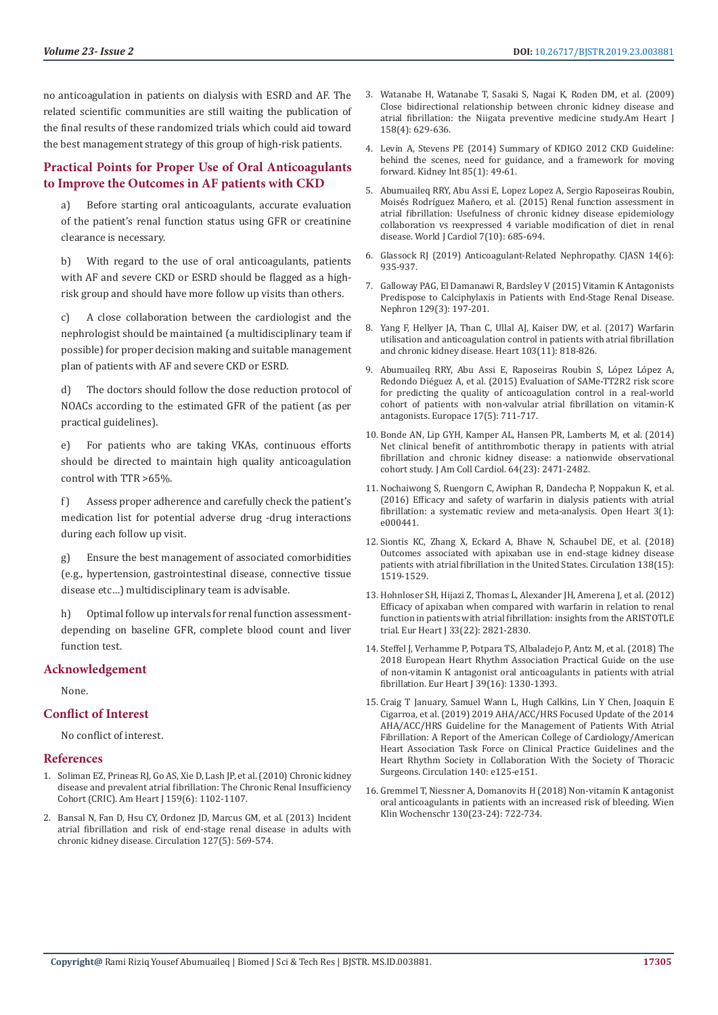no anticoagulation in patients on dialysis with ESRD and AF. The related scientific communities are still waiting the publication of the final results of these randomized trials which could aid toward the best management strategy of this group of high-risk patients.

## **Practical Points for Proper Use of Oral Anticoagulants to Improve the Outcomes in AF patients with CKD**

a) Before starting oral anticoagulants, accurate evaluation of the patient's renal function status using GFR or creatinine clearance is necessary.

b) With regard to the use of oral anticoagulants, patients with AF and severe CKD or ESRD should be flagged as a highrisk group and should have more follow up visits than others.

A close collaboration between the cardiologist and the nephrologist should be maintained (a multidisciplinary team if possible) for proper decision making and suitable management plan of patients with AF and severe CKD or ESRD.

d) The doctors should follow the dose reduction protocol of NOACs according to the estimated GFR of the patient (as per practical guidelines).

e) For patients who are taking VKAs, continuous efforts should be directed to maintain high quality anticoagulation control with TTR >65%.

f) Assess proper adherence and carefully check the patient's medication list for potential adverse drug -drug interactions during each follow up visit.

g) Ensure the best management of associated comorbidities (e.g., hypertension, gastrointestinal disease, connective tissue disease etc…) multidisciplinary team is advisable.

h) Optimal follow up intervals for renal function assessmentdepending on baseline GFR, complete blood count and liver function test.

#### **Acknowledgement**

None.

#### **Conflict of Interest**

No conflict of interest.

#### **References**

- 1. [Soliman EZ, Prineas RJ, Go AS, Xie D, Lash JP, et al. \(2010\) Chronic kidney](https://www.ncbi.nlm.nih.gov/pubmed/20569726)  [disease and prevalent atrial fibrillation: The Chronic Renal Insufficiency](https://www.ncbi.nlm.nih.gov/pubmed/20569726)  [Cohort \(CRIC\). Am Heart J 159\(6\): 1102-1107.](https://www.ncbi.nlm.nih.gov/pubmed/20569726)
- 2. [Bansal N, Fan D, Hsu CY, Ordonez JD, Marcus GM, et al. \(2013\) Incident](https://www.ncbi.nlm.nih.gov/pubmed/23275377)  [atrial fibrillation and risk of end-stage renal disease in adults with](https://www.ncbi.nlm.nih.gov/pubmed/23275377)  [chronic kidney disease. Circulation 127\(5\): 569-574.](https://www.ncbi.nlm.nih.gov/pubmed/23275377)
- 3. [Watanabe H, Watanabe T, Sasaki S, Nagai K, Roden DM, et al. \(2009\)](https://www.ncbi.nlm.nih.gov/pubmed/19781424) [Close bidirectional relationship between chronic kidney disease and](https://www.ncbi.nlm.nih.gov/pubmed/19781424) [atrial fibrillation: the Niigata preventive medicine study.Am Heart J](https://www.ncbi.nlm.nih.gov/pubmed/19781424) [158\(4\): 629-636.](https://www.ncbi.nlm.nih.gov/pubmed/19781424)
- 4. [Levin A, Stevens PE \(2014\) Summary of KDIGO 2012 CKD Guideline:](https://www.ncbi.nlm.nih.gov/pubmed/24284513) [behind the scenes, need for guidance, and a framework for moving](https://www.ncbi.nlm.nih.gov/pubmed/24284513) [forward. Kidney Int 85\(1\): 49-61.](https://www.ncbi.nlm.nih.gov/pubmed/24284513)
- 5. [Abumuaileq RRY, Abu Assi E, Lopez Lopez A, Sergio Raposeiras Roubin,](https://www.ncbi.nlm.nih.gov/pmc/articles/PMC4620080/) [Moisés Rodríguez Mañero, et al. \(2015\) Renal function assessment in](https://www.ncbi.nlm.nih.gov/pmc/articles/PMC4620080/) [atrial fibrillation: Usefulness of chronic kidney disease epidemiology](https://www.ncbi.nlm.nih.gov/pmc/articles/PMC4620080/) [collaboration vs reexpressed 4 variable modification of diet in renal](https://www.ncbi.nlm.nih.gov/pmc/articles/PMC4620080/) [disease. World J Cardiol 7\(10\): 685-694.](https://www.ncbi.nlm.nih.gov/pmc/articles/PMC4620080/)
- 6. [Glassock RJ \(2019\) Anticoagulant-Related Nephropathy. CJASN 14\(6\):](file:///E:/varalakshmi/27-11-2019/BJSTR.MS.ID.003881-SI/BJSTR-NUR-19-MRW-171_W/Glassock%20RJ%20(2019)%20Anticoagulant-Related%20Nephropathy.%20CJASN%2014(6):%20935-937.) [935-937.](file:///E:/varalakshmi/27-11-2019/BJSTR.MS.ID.003881-SI/BJSTR-NUR-19-MRW-171_W/Glassock%20RJ%20(2019)%20Anticoagulant-Related%20Nephropathy.%20CJASN%2014(6):%20935-937.)
- 7. [Galloway PAG, El Damanawi R, Bardsley V \(2015\) Vitamin K Antagonists](file:///E:/varalakshmi/27-11-2019/BJSTR.MS.ID.003881-SI/BJSTR-NUR-19-MRW-171_W/Galloway%20PAG,%20El-Damanawi%20R,%20Bardsley%20V%20(2015)%20%20Vitamin%20K%20Antagonists%20Predispose%20to%20Calciphylaxis%20in%20Patients%20with%20End-Stage%20Renal%20Disease.%20Nephron%20129:%20197-201.) [Predispose to Calciphylaxis in Patients with End-Stage Renal Disease.](file:///E:/varalakshmi/27-11-2019/BJSTR.MS.ID.003881-SI/BJSTR-NUR-19-MRW-171_W/Galloway%20PAG,%20El-Damanawi%20R,%20Bardsley%20V%20(2015)%20%20Vitamin%20K%20Antagonists%20Predispose%20to%20Calciphylaxis%20in%20Patients%20with%20End-Stage%20Renal%20Disease.%20Nephron%20129:%20197-201.) [Nephron 129\(3\): 197-201.](file:///E:/varalakshmi/27-11-2019/BJSTR.MS.ID.003881-SI/BJSTR-NUR-19-MRW-171_W/Galloway%20PAG,%20El-Damanawi%20R,%20Bardsley%20V%20(2015)%20%20Vitamin%20K%20Antagonists%20Predispose%20to%20Calciphylaxis%20in%20Patients%20with%20End-Stage%20Renal%20Disease.%20Nephron%20129:%20197-201.)
- 8. [Yang F, Hellyer JA, Than C, Ullal AJ, Kaiser DW, et al. \(2017\) Warfarin](https://www.ncbi.nlm.nih.gov/pubmed/27852694) [utilisation and anticoagulation control in patients with atrial fibrillation](https://www.ncbi.nlm.nih.gov/pubmed/27852694) [and chronic kidney disease. Heart 103\(11\): 818-826.](https://www.ncbi.nlm.nih.gov/pubmed/27852694)
- 9. [Abumuaileq RRY, Abu Assi E, Raposeiras Roubin S, López López A,](https://www.ncbi.nlm.nih.gov/pubmed/25662984) [Redondo Diéguez A, et al. \(2015\) Evaluation of SAMe-TT2R2 risk score](https://www.ncbi.nlm.nih.gov/pubmed/25662984) [for predicting the quality of anticoagulation control in a real-world](https://www.ncbi.nlm.nih.gov/pubmed/25662984) [cohort of patients with non-valvular atrial fibrillation on vitamin-K](https://www.ncbi.nlm.nih.gov/pubmed/25662984) [antagonists. Europace 17\(5\): 711-717.](https://www.ncbi.nlm.nih.gov/pubmed/25662984)
- 10. [Bonde AN, Lip GYH, Kamper AL, Hansen PR, Lamberts M, et al. \(2014\)](https://www.ncbi.nlm.nih.gov/pubmed/25500231) [Net clinical benefit of antithrombotic therapy in patients with atrial](https://www.ncbi.nlm.nih.gov/pubmed/25500231) [fibrillation and chronic kidney disease: a nationwide observational](https://www.ncbi.nlm.nih.gov/pubmed/25500231) [cohort study. J Am Coll Cardiol. 64\(23\): 2471-2482.](https://www.ncbi.nlm.nih.gov/pubmed/25500231)
- 11. [Nochaiwong S, Ruengorn C, Awiphan R, Dandecha P, Noppakun K, et al.](https://www.ncbi.nlm.nih.gov/pubmed/27386140) [\(2016\) Efficacy and safety of warfarin in dialysis patients with atrial](https://www.ncbi.nlm.nih.gov/pubmed/27386140) [fibrillation: a systematic review and meta-analysis. Open Heart 3\(1\):](https://www.ncbi.nlm.nih.gov/pubmed/27386140) [e000441.](https://www.ncbi.nlm.nih.gov/pubmed/27386140)
- 12. [Siontis KC, Zhang X, Eckard A, Bhave N, Schaubel DE, et al. \(2018\)](https://www.ncbi.nlm.nih.gov/pubmed/29954737) [Outcomes associated with apixaban use in end-stage kidney disease](https://www.ncbi.nlm.nih.gov/pubmed/29954737) [patients with atrial fibrillation in the United States. Circulation 138\(15\):](https://www.ncbi.nlm.nih.gov/pubmed/29954737) [1519-1529.](https://www.ncbi.nlm.nih.gov/pubmed/29954737)
- 13. [Hohnloser SH, Hijazi Z, Thomas L, Alexander JH, Amerena J, et al. \(2012\)](https://www.ncbi.nlm.nih.gov/pubmed/22933567) [Efficacy of apixaban when compared with warfarin in relation to renal](https://www.ncbi.nlm.nih.gov/pubmed/22933567) [function in patients with atrial fibrillation: insights from the ARISTOTLE](https://www.ncbi.nlm.nih.gov/pubmed/22933567) [trial. Eur Heart J 33\(22\): 2821-2830.](https://www.ncbi.nlm.nih.gov/pubmed/22933567)
- 14. [Steffel J, Verhamme P, Potpara TS, Albaladejo P, Antz M, et al. \(2018\) The](https://www.ncbi.nlm.nih.gov/pubmed/29562325) [2018 European Heart Rhythm Association Practical Guide on the use](https://www.ncbi.nlm.nih.gov/pubmed/29562325) [of non-vitamin K antagonist oral anticoagulants in patients with atrial](https://www.ncbi.nlm.nih.gov/pubmed/29562325) [fibrillation. Eur Heart J 39\(16\): 1330-1393.](https://www.ncbi.nlm.nih.gov/pubmed/29562325)
- 15. [Craig T January, Samuel Wann L, Hugh Calkins, Lin Y Chen, Joaquin E](https://www.ahajournals.org/doi/10.1161/CIR.0000000000000665) [Cigarroa, et al. \(2019\) 2019 AHA/ACC/HRS Focused Update of the 2014](https://www.ahajournals.org/doi/10.1161/CIR.0000000000000665) [AHA/ACC/HRS Guideline for the Management of Patients With Atrial](https://www.ahajournals.org/doi/10.1161/CIR.0000000000000665) [Fibrillation: A Report of the American College of Cardiology/American](https://www.ahajournals.org/doi/10.1161/CIR.0000000000000665) [Heart Association Task Force on Clinical Practice Guidelines and the](https://www.ahajournals.org/doi/10.1161/CIR.0000000000000665) [Heart Rhythm Society in Collaboration With the Society of Thoracic](https://www.ahajournals.org/doi/10.1161/CIR.0000000000000665) [Surgeons. Circulation 140: e125-e151.](https://www.ahajournals.org/doi/10.1161/CIR.0000000000000665)
- 16. [Gremmel T, Niessner A, Domanovits H \(2018\) Non-vitamin K antagonist](file:///E:/varalakshmi/27-11-2019/BJSTR.MS.ID.003881-SI/BJSTR-NUR-19-MRW-171_W/Gremmel%20%20T,%20Niessner%20A,%20Domanovits%20H(2018)%20%20Non-vitamin%20K%20antagonist%20oral%20anticoagulants%20in%20patients%20with%20an%20increased%20risk%20of%20bleeding.%20Wien%20Klin%20Wochenschr130:%20722–734.) [oral anticoagulants in patients with an increased risk of bleeding. Wien](file:///E:/varalakshmi/27-11-2019/BJSTR.MS.ID.003881-SI/BJSTR-NUR-19-MRW-171_W/Gremmel%20%20T,%20Niessner%20A,%20Domanovits%20H(2018)%20%20Non-vitamin%20K%20antagonist%20oral%20anticoagulants%20in%20patients%20with%20an%20increased%20risk%20of%20bleeding.%20Wien%20Klin%20Wochenschr130:%20722–734.) [Klin Wochenschr 130\(23-24\): 722-734.](file:///E:/varalakshmi/27-11-2019/BJSTR.MS.ID.003881-SI/BJSTR-NUR-19-MRW-171_W/Gremmel%20%20T,%20Niessner%20A,%20Domanovits%20H(2018)%20%20Non-vitamin%20K%20antagonist%20oral%20anticoagulants%20in%20patients%20with%20an%20increased%20risk%20of%20bleeding.%20Wien%20Klin%20Wochenschr130:%20722–734.)